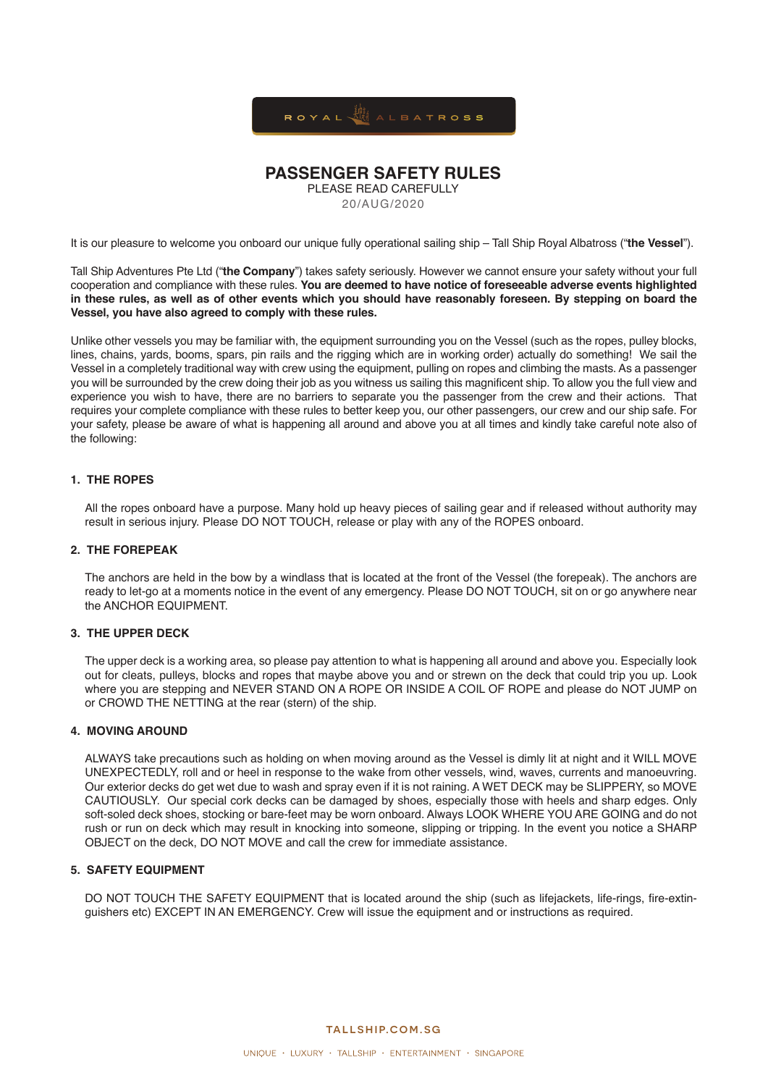

# **PASSENGER SAFETY RULES**

PLEASE READ CAREFULLY 20/AUG/2020

It is our pleasure to welcome you onboard our unique fully operational sailing ship – Tall Ship Royal Albatross ("**the Vessel**").

Tall Ship Adventures Pte Ltd ("**the Company**") takes safety seriously. However we cannot ensure your safety without your full cooperation and compliance with these rules. **You are deemed to have notice of foreseeable adverse events highlighted in these rules, as well as of other events which you should have reasonably foreseen. By stepping on board the Vessel, you have also agreed to comply with these rules.** 

Unlike other vessels you may be familiar with, the equipment surrounding you on the Vessel (such as the ropes, pulley blocks, lines, chains, yards, booms, spars, pin rails and the rigging which are in working order) actually do something! We sail the Vessel in a completely traditional way with crew using the equipment, pulling on ropes and climbing the masts. As a passenger you will be surrounded by the crew doing their job as you witness us sailing this magnificent ship. To allow you the full view and experience you wish to have, there are no barriers to separate you the passenger from the crew and their actions. That requires your complete compliance with these rules to better keep you, our other passengers, our crew and our ship safe. For your safety, please be aware of what is happening all around and above you at all times and kindly take careful note also of the following:

#### **1. THE ROPES**

All the ropes onboard have a purpose. Many hold up heavy pieces of sailing gear and if released without authority may result in serious injury. Please DO NOT TOUCH, release or play with any of the ROPES onboard.

# **2. THE FOREPEAK**

The anchors are held in the bow by a windlass that is located at the front of the Vessel (the forepeak). The anchors are ready to let-go at a moments notice in the event of any emergency. Please DO NOT TOUCH, sit on or go anywhere near the ANCHOR EQUIPMENT.

# **3. THE UPPER DECK**

The upper deck is a working area, so please pay attention to what is happening all around and above you. Especially look out for cleats, pulleys, blocks and ropes that maybe above you and or strewn on the deck that could trip you up. Look where you are stepping and NEVER STAND ON A ROPE OR INSIDE A COIL OF ROPE and please do NOT JUMP on or CROWD THE NETTING at the rear (stern) of the ship.

#### **4. MOVING AROUND**

ALWAYS take precautions such as holding on when moving around as the Vessel is dimly lit at night and it WILL MOVE UNEXPECTEDLY, roll and or heel in response to the wake from other vessels, wind, waves, currents and manoeuvring. Our exterior decks do get wet due to wash and spray even if it is not raining. A WET DECK may be SLIPPERY, so MOVE CAUTIOUSLY. Our special cork decks can be damaged by shoes, especially those with heels and sharp edges. Only soft-soled deck shoes, stocking or bare-feet may be worn onboard. Always LOOK WHERE YOU ARE GOING and do not rush or run on deck which may result in knocking into someone, slipping or tripping. In the event you notice a SHARP OBJECT on the deck, DO NOT MOVE and call the crew for immediate assistance.

# **5. SAFETY EQUIPMENT**

DO NOT TOUCH THE SAFETY EQUIPMENT that is located around the ship (such as lifeiackets, life-rings, fire-extinguishers etc) EXCEPT IN AN EMERGENCY. Crew will issue the equipment and or instructions as required.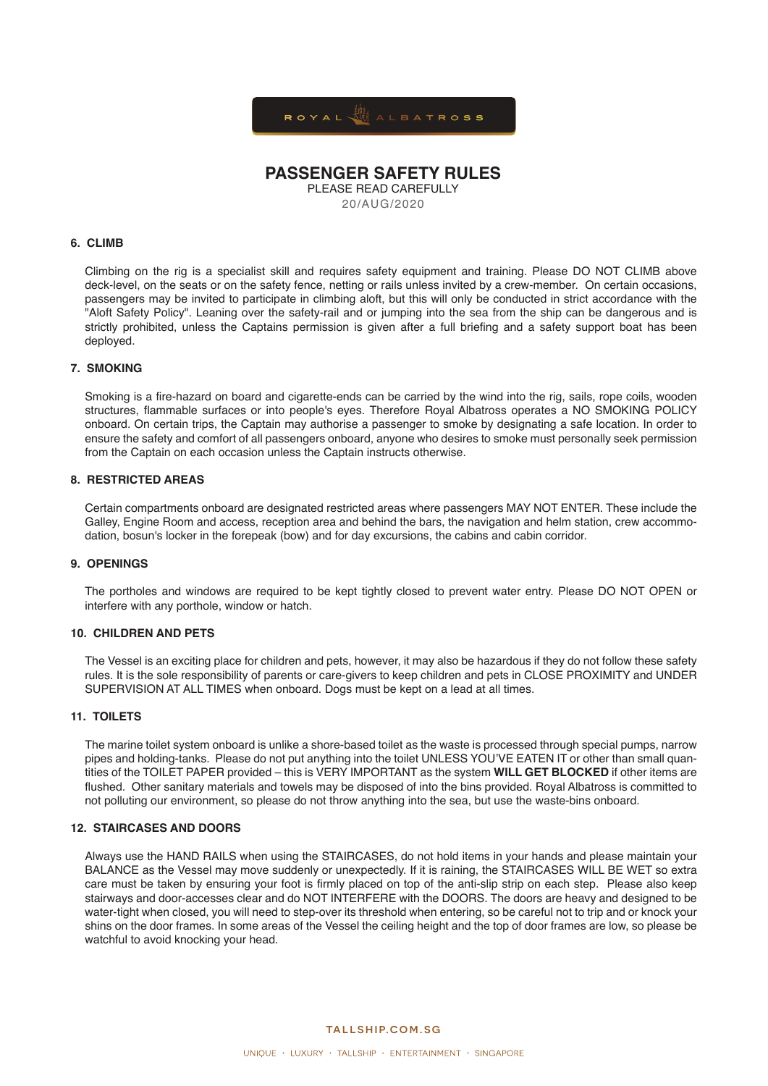

# **PASSENGER SAFETY RULES**

PLEASE READ CAREFULLY

20/AUG/2020

### **6. CLIMB**

Climbing on the rig is a specialist skill and requires safety equipment and training. Please DO NOT CLIMB above deck-level, on the seats or on the safety fence, netting or rails unless invited by a crew-member. On certain occasions, passengers may be invited to participate in climbing aloft, but this will only be conducted in strict accordance with the "Aloft Safety Policy". Leaning over the safety-rail and or jumping into the sea from the ship can be dangerous and is strictly prohibited, unless the Captains permission is given after a full briefing and a safety support boat has been deployed.

#### **7. SMOKING**

Smoking is a fire-hazard on board and cigarette-ends can be carried by the wind into the rig, sails, rope coils, wooden structures, flammable surfaces or into people's eyes. Therefore Royal Albatross operates a NO SMOKING POLICY onboard. On certain trips, the Captain may authorise a passenger to smoke by designating a safe location. In order to ensure the safety and comfort of all passengers onboard, anyone who desires to smoke must personally seek permission from the Captain on each occasion unless the Captain instructs otherwise.

#### **8. RESTRICTED AREAS**

Certain compartments onboard are designated restricted areas where passengers MAY NOT ENTER. These include the Galley, Engine Room and access, reception area and behind the bars, the navigation and helm station, crew accommodation, bosun's locker in the forepeak (bow) and for day excursions, the cabins and cabin corridor.

#### **9. OPENINGS**

The portholes and windows are required to be kept tightly closed to prevent water entry. Please DO NOT OPEN or interfere with any porthole, window or hatch.

#### **10. CHILDREN AND PETS**

The Vessel is an exciting place for children and pets, however, it may also be hazardous if they do not follow these safety rules. It is the sole responsibility of parents or care-givers to keep children and pets in CLOSE PROXIMITY and UNDER SUPERVISION AT ALL TIMES when onboard. Dogs must be kept on a lead at all times.

#### **11. TOILETS**

The marine toilet system onboard is unlike a shore-based toilet as the waste is processed through special pumps, narrow pipes and holding-tanks. Please do not put anything into the toilet UNLESS YOU'VE EATEN IT or other than small quantities of the TOILET PAPER provided – this is VERY IMPORTANT as the system **WILL GET BLOCKED** if other items are flushed. Other sanitary materials and towels may be disposed of into the bins provided. Royal Albatross is committed to not polluting our environment, so please do not throw anything into the sea, but use the waste-bins onboard.

#### **12. STAIRCASES AND DOORS**

Always use the HAND RAILS when using the STAIRCASES, do not hold items in your hands and please maintain your BALANCE as the Vessel may move suddenly or unexpectedly. If it is raining, the STAIRCASES WILL BE WET so extra care must be taken by ensuring your foot is firmly placed on top of the anti-slip strip on each step. Please also keep stairways and door-accesses clear and do NOT INTERFERE with the DOORS. The doors are heavy and designed to be water-tight when closed, you will need to step-over its threshold when entering, so be careful not to trip and or knock your shins on the door frames. In some areas of the Vessel the ceiling height and the top of door frames are low, so please be watchful to avoid knocking your head.